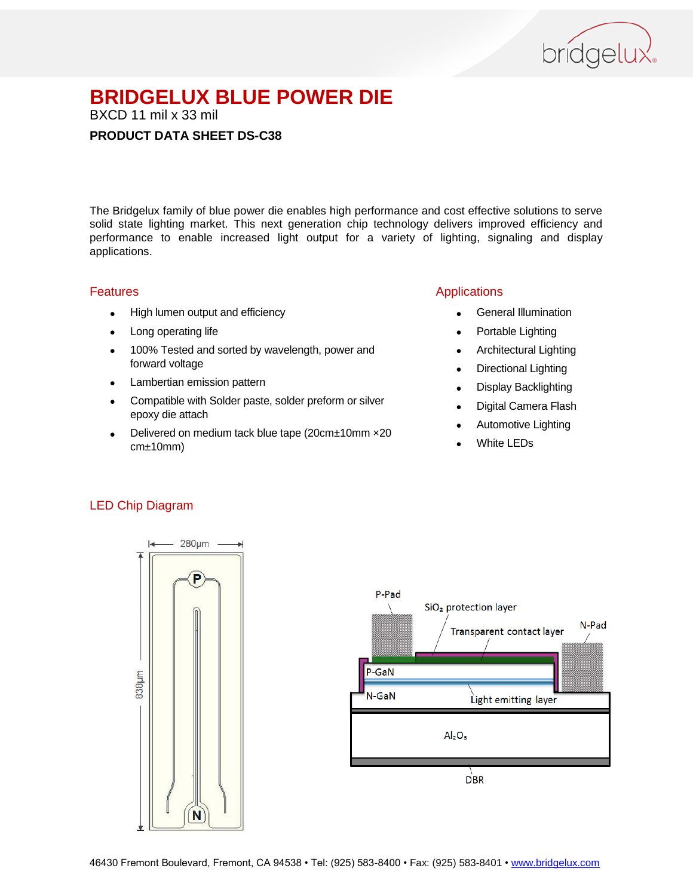

BXCD 11 mil x 33 mil

### **PRODUCT DATA SHEET DS-C38**

The Bridgelux family of blue power die enables high performance and cost effective solutions to serve solid state lighting market. This next generation chip technology delivers improved efficiency and performance to enable increased light output for a variety of lighting, signaling and display applications.

#### Features

- High lumen output and efficiency
- Long operating life
- 100% Tested and sorted by wavelength, power and forward voltage
- Lambertian emission pattern
- Compatible with Solder paste, solder preform or silver epoxy die attach
- Delivered on medium tack blue tape (20cm±10mm ×20 cm±10mm)

### Applications

- General Illumination
- Portable Lighting
- Architectural Lighting
- Directional Lighting
- Display Backlighting
- Digital Camera Flash
- Automotive Lighting
- White LEDs

### LED Chip Diagram



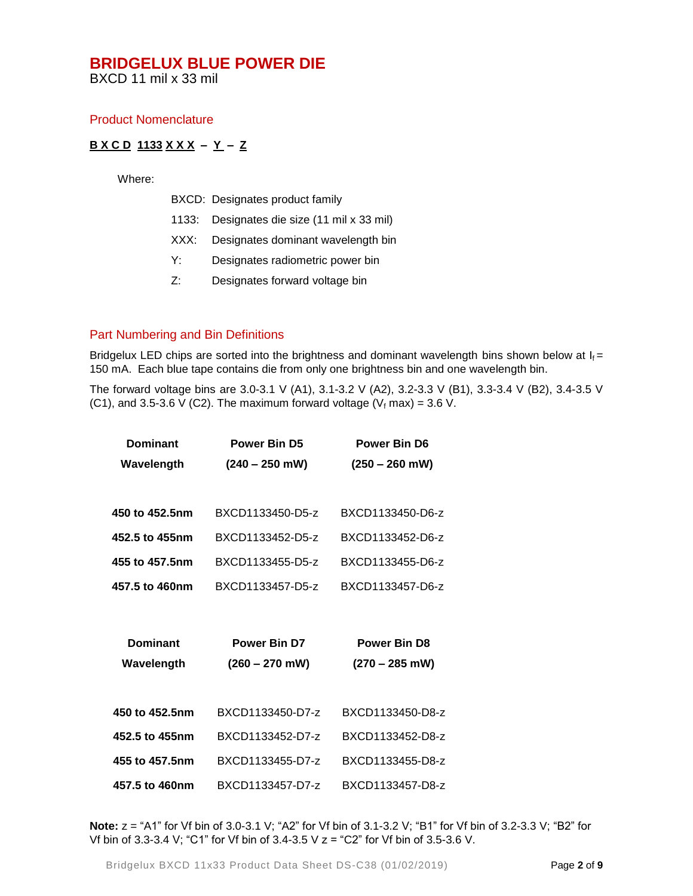BXCD 11 mil x 33 mil

#### Product Nomenclature

### **B X C D 1133 X X X – Y – Z**

Where:

|  | BXCD: Designates product family |  |  |
|--|---------------------------------|--|--|
|--|---------------------------------|--|--|

- 1133: Designates die size (11 mil x 33 mil)
- XXX: Designates dominant wavelength bin
- Y: Designates radiometric power bin
- Z: Designates forward voltage bin

### Part Numbering and Bin Definitions

Bridgelux LED chips are sorted into the brightness and dominant wavelength bins shown below at  $I_f =$ 150 mA. Each blue tape contains die from only one brightness bin and one wavelength bin.

The forward voltage bins are 3.0-3.1 V (A1), 3.1-3.2 V (A2), 3.2-3.3 V (B1), 3.3-3.4 V (B2), 3.4-3.5 V (C1), and 3.5-3.6 V (C2). The maximum forward voltage ( $V_f$  max) = 3.6 V.

| <b>Dominant</b> | <b>Power Bin D5</b> | <b>Power Bin D6</b> |  |
|-----------------|---------------------|---------------------|--|
| Wavelength      | $(240 - 250$ mW)    | $(250 - 260$ mW)    |  |
|                 |                     |                     |  |
| 450 to 452.5nm  | BXCD1133450-D5-z    | BXCD1133450-D6-z    |  |
| 452.5 to 455nm  | BXCD1133452-D5-z    | BXCD1133452-D6-z    |  |
| 455 to 457.5nm  | BXCD1133455-D5-z    | BXCD1133455-D6-z    |  |
| 457.5 to 460nm  | BXCD1133457-D5-z    | BXCD1133457-D6-z    |  |
|                 |                     |                     |  |
|                 |                     |                     |  |
| <b>Dominant</b> | <b>Power Bin D7</b> | <b>Power Bin D8</b> |  |
| Wavelength      | $(260 - 270$ mW)    | $(270 - 285$ mW)    |  |
|                 |                     |                     |  |
| 450 to 452.5nm  | BXCD1133450-D7-z    | BXCD1133450-D8-z    |  |
| 452.5 to 455nm  | BXCD1133452-D7-z    | BXCD1133452-D8-z    |  |
| 455 to 457.5nm  | BXCD1133455-D7-z    | BXCD1133455-D8-z    |  |

**Note:** z = "A1" for Vf bin of 3.0-3.1 V; "A2" for Vf bin of 3.1-3.2 V; "B1" for Vf bin of 3.2-3.3 V; "B2" for Vf bin of 3.3-3.4 V; "C1" for Vf bin of 3.4-3.5 V z = "C2" for Vf bin of 3.5-3.6 V.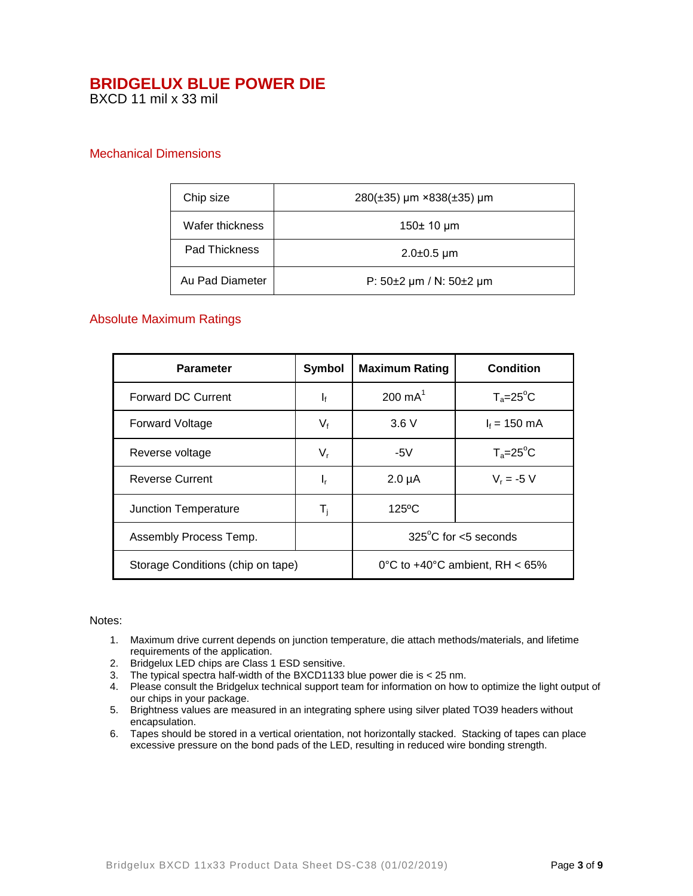BXCD 11 mil x 33 mil

### Mechanical Dimensions

| Chip size       | $280(\pm 35)$ µm ×838( $\pm 35$ ) µm |  |
|-----------------|--------------------------------------|--|
| Wafer thickness | 150± 10 µm                           |  |
| Pad Thickness   | $2.0 \pm 0.5$ µm                     |  |
| Au Pad Diameter | P: $50\pm2$ µm / N: $50\pm2$ µm      |  |

### Absolute Maximum Ratings

| <b>Parameter</b>                  | <b>Symbol</b>           | <b>Maximum Rating</b>             | <b>Condition</b>   |
|-----------------------------------|-------------------------|-----------------------------------|--------------------|
| <b>Forward DC Current</b>         | $\mathbf{I}_{\text{f}}$ | $200 \text{ mA}^1$                | $T_a = 25^\circ C$ |
| <b>Forward Voltage</b>            | $V_{f}$                 | 3.6V                              | $I_f = 150$ mA     |
| Reverse voltage                   | $V_{r}$                 | -5 $V$                            | $T_a = 25^\circ C$ |
| <b>Reverse Current</b>            | ı,                      | $2.0 \mu A$                       | $V_r = -5 V$       |
| <b>Junction Temperature</b>       | $\mathsf{T}_\mathsf{i}$ | $125^{\circ}$ C                   |                    |
| Assembly Process Temp.            |                         | $325^{\circ}$ C for <5 seconds    |                    |
| Storage Conditions (chip on tape) |                         | 0°C to $+40$ °C ambient, RH < 65% |                    |

#### Notes:

- 1. Maximum drive current depends on junction temperature, die attach methods/materials, and lifetime requirements of the application.
- 2. Bridgelux LED chips are Class 1 ESD sensitive.
- 3. The typical spectra half-width of the BXCD1133 blue power die is < 25 nm.
- 4. Please consult the Bridgelux technical support team for information on how to optimize the light output of our chips in your package.
- 5. Brightness values are measured in an integrating sphere using silver plated TO39 headers without encapsulation.
- 6. Tapes should be stored in a vertical orientation, not horizontally stacked. Stacking of tapes can place excessive pressure on the bond pads of the LED, resulting in reduced wire bonding strength.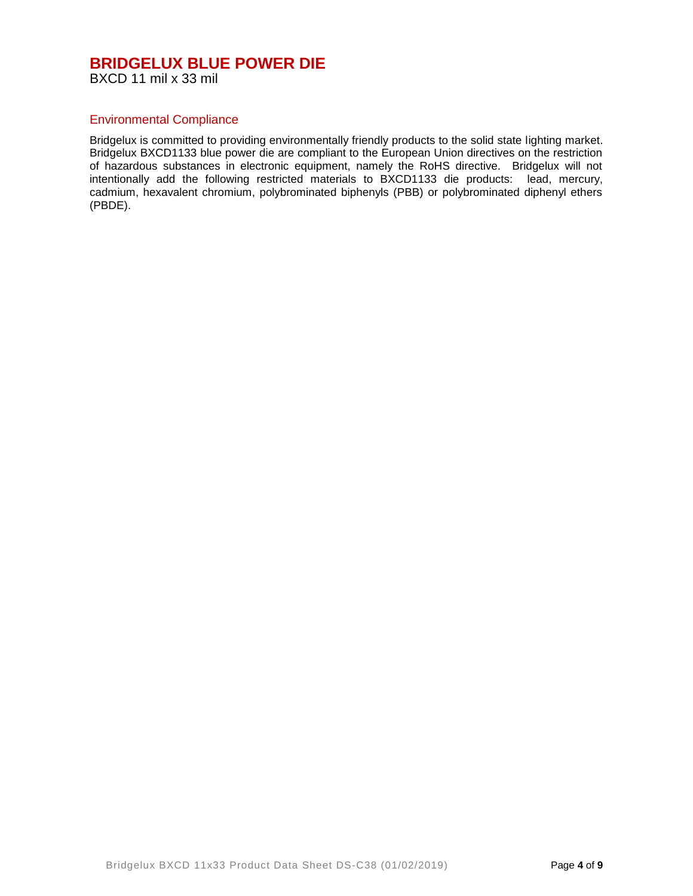BXCD 11 mil x 33 mil

### Environmental Compliance

Bridgelux is committed to providing environmentally friendly products to the solid state lighting market. Bridgelux BXCD1133 blue power die are compliant to the European Union directives on the restriction of hazardous substances in electronic equipment, namely the RoHS directive. Bridgelux will not intentionally add the following restricted materials to BXCD1133 die products: lead, mercury, cadmium, hexavalent chromium, polybrominated biphenyls (PBB) or polybrominated diphenyl ethers (PBDE).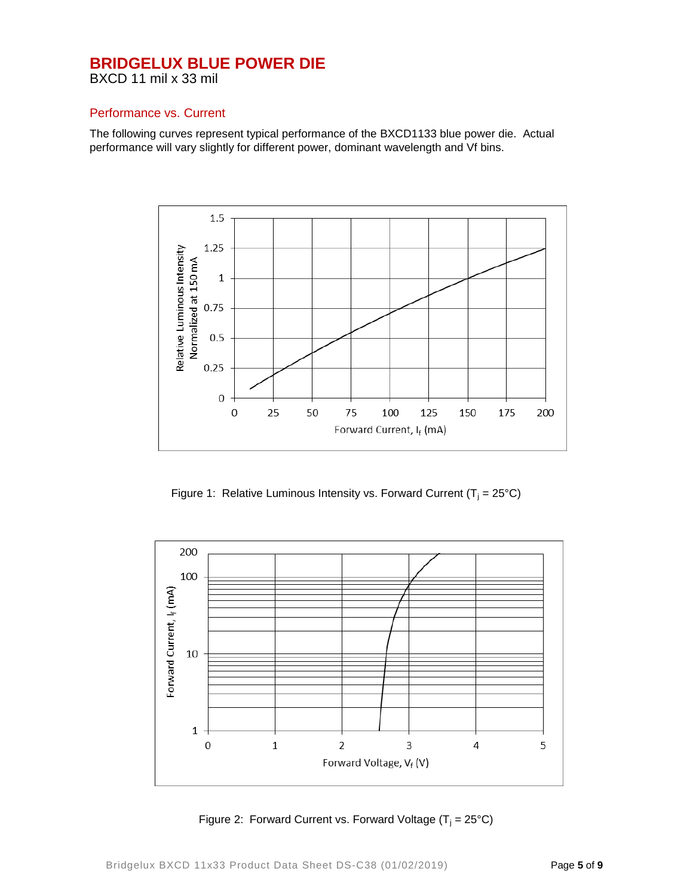BXCD 11 mil x 33 mil

### Performance vs. Current

The following curves represent typical performance of the BXCD1133 blue power die. Actual performance will vary slightly for different power, dominant wavelength and Vf bins.



Figure 1: Relative Luminous Intensity vs. Forward Current ( $T_i = 25^{\circ}C$ )



Figure 2: Forward Current vs. Forward Voltage  $(T_i = 25^{\circ}C)$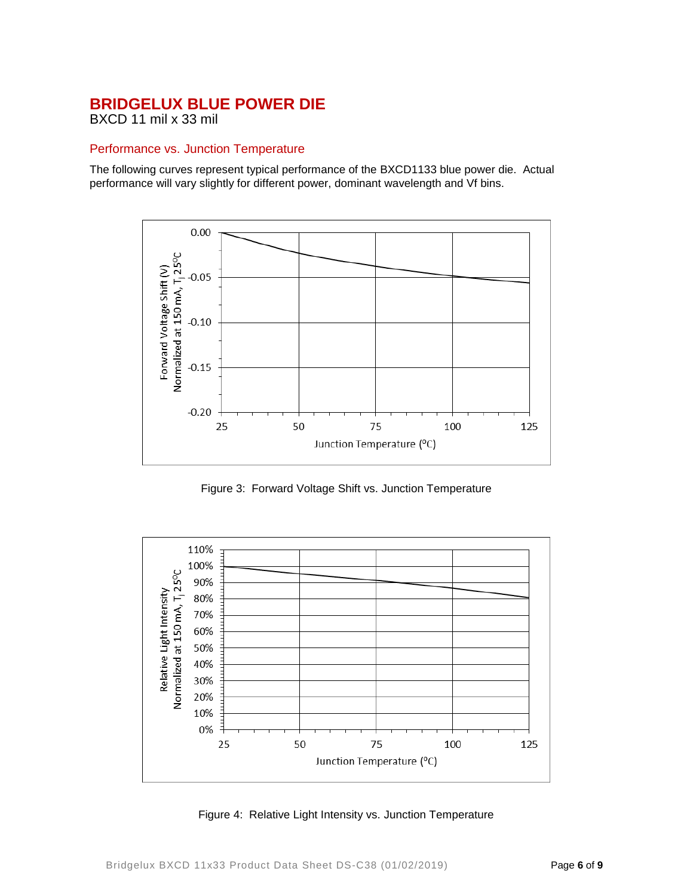BXCD 11 mil x 33 mil

### Performance vs. Junction Temperature

The following curves represent typical performance of the BXCD1133 blue power die. Actual performance will vary slightly for different power, dominant wavelength and Vf bins.



Figure 3: Forward Voltage Shift vs. Junction Temperature



Figure 4: Relative Light Intensity vs. Junction Temperature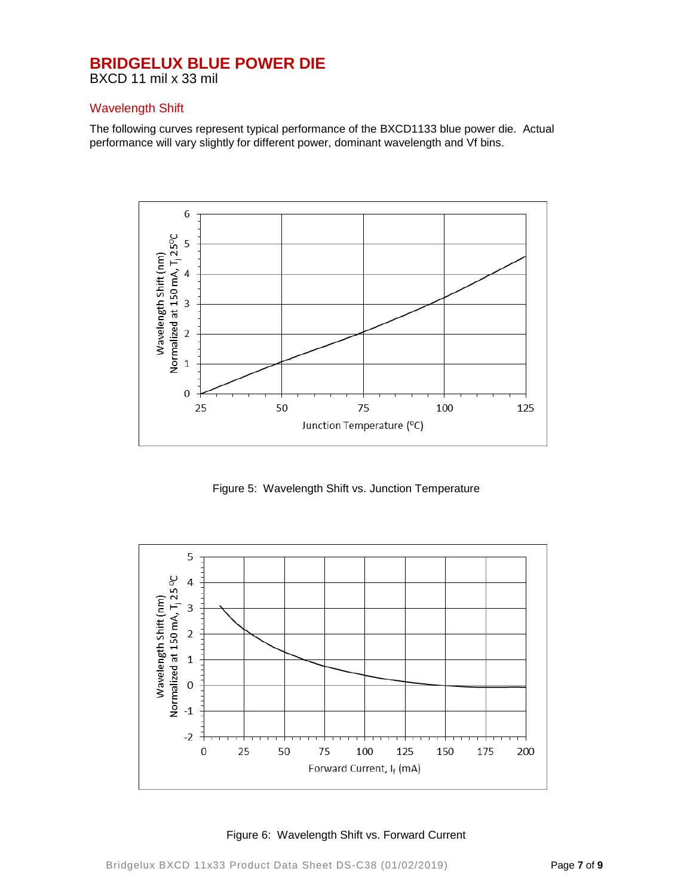BXCD 11 mil x 33 mil

### Wavelength Shift

The following curves represent typical performance of the BXCD1133 blue power die. Actual performance will vary slightly for different power, dominant wavelength and Vf bins.



Figure 5: Wavelength Shift vs. Junction Temperature



Figure 6: Wavelength Shift vs. Forward Current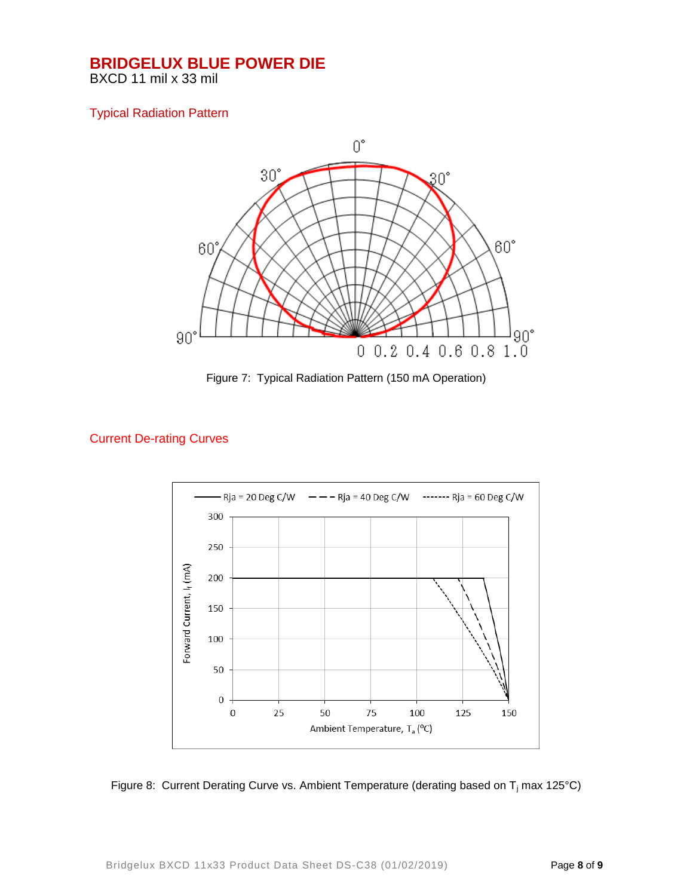BXCD 11 mil x 33 mil

### Typical Radiation Pattern



Figure 7: Typical Radiation Pattern (150 mA Operation)

### Current De-rating Curves